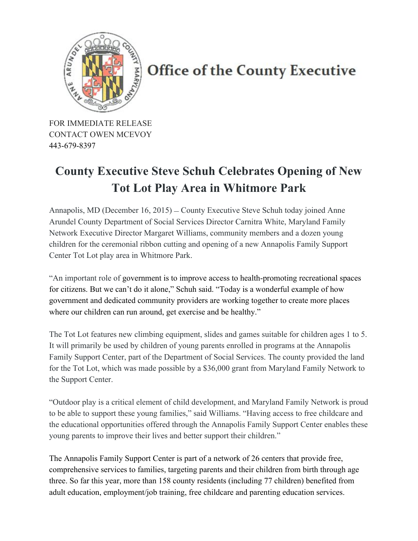

## **Office of the County Executive**

FOR IMMEDIATE RELEASE CONTACT OWEN MCEVOY 443-679-8397

## **County Executive Steve Schuh Celebrates Opening of New Tot Lot Play Area in Whitmore Park**

Annapolis, MD (December 16, 2015) – County Executive Steve Schuh today joined Anne Arundel County Department of Social Services Director Carnitra White, Maryland Family Network Executive Director Margaret Williams, community members and a dozen young children for the ceremonial ribbon cutting and opening of a new Annapolis Family Support Center Tot Lot play area in Whitmore Park.

"An important role of government is to improve access to health-promoting recreational spaces for citizens. But we can't do it alone," Schuh said. "Today is a wonderful example of how government and dedicated community providers are working together to create more places where our children can run around, get exercise and be healthy."

The Tot Lot features new climbing equipment, slides and games suitable for children ages 1 to 5. It will primarily be used by children of young parents enrolled in programs at the Annapolis Family Support Center, part of the Department of Social Services. The county provided the land for the Tot Lot, which was made possible by a \$36,000 grant from Maryland Family Network to the Support Center.

"Outdoor play is a critical element of child development, and Maryland Family Network is proud to be able to support these young families," said Williams. "Having access to free childcare and the educational opportunities offered through the Annapolis Family Support Center enables these young parents to improve their lives and better support their children."

The Annapolis Family Support Center is part of a network of 26 centers that provide free, comprehensive services to families, targeting parents and their children from birth through age three. So far this year, more than 158 county residents (including 77 children) benefited from adult education, employment/job training, free childcare and parenting education services.